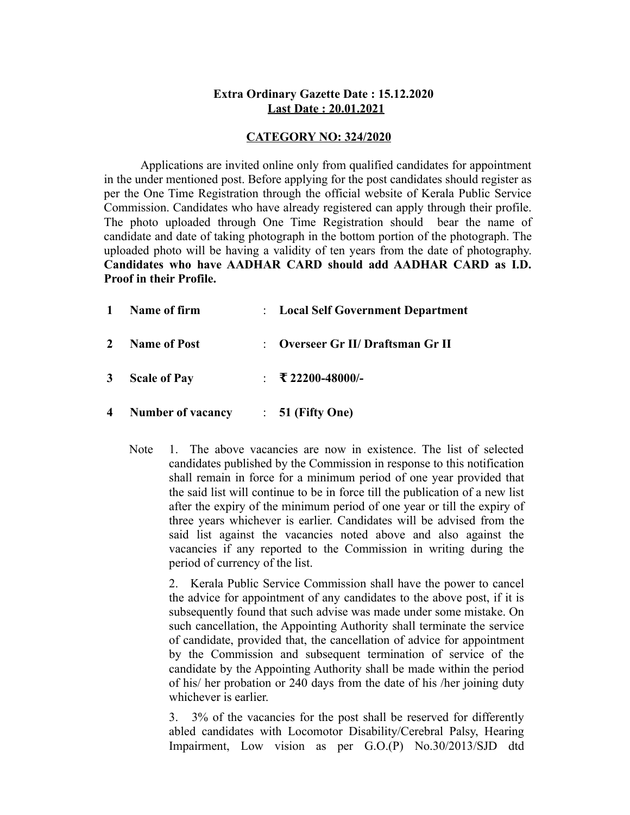## **Extra Ordinary Gazette Date : 15.12.2020 Last Date : 20.01.2021**

#### **CATEGORY NO: 324/2020**

Applications are invited online only from qualified candidates for appointment in the under mentioned post. Before applying for the post candidates should register as per the One Time Registration through the official website of Kerala Public Service Commission. Candidates who have already registered can apply through their profile. The photo uploaded through One Time Registration should bear the name of candidate and date of taking photograph in the bottom portion of the photograph. The uploaded photo will be having a validity of ten years from the date of photography. **Candidates who have AADHAR CARD should add AADHAR CARD as I.D. Proof in their Profile.**

| $\mathbf 1$    | Name of firm             | : Local Self Government Department |
|----------------|--------------------------|------------------------------------|
| $\mathbf{2}$   | <b>Name of Post</b>      | : Overseer Gr II/ Draftsman Gr II  |
| $3^{\circ}$    | <b>Scale of Pay</b>      | $\pm$ ₹ 22200-48000/-              |
| $\overline{4}$ | <b>Number of vacancy</b> | $\therefore$ 51 (Fifty One)        |

Note 1. The above vacancies are now in existence. The list of selected candidates published by the Commission in response to this notification shall remain in force for a minimum period of one year provided that the said list will continue to be in force till the publication of a new list after the expiry of the minimum period of one year or till the expiry of three years whichever is earlier. Candidates will be advised from the said list against the vacancies noted above and also against the vacancies if any reported to the Commission in writing during the period of currency of the list.

2. Kerala Public Service Commission shall have the power to cancel the advice for appointment of any candidates to the above post, if it is subsequently found that such advise was made under some mistake. On such cancellation, the Appointing Authority shall terminate the service of candidate, provided that, the cancellation of advice for appointment by the Commission and subsequent termination of service of the candidate by the Appointing Authority shall be made within the period of his/ her probation or 240 days from the date of his /her joining duty whichever is earlier.

3. 3% of the vacancies for the post shall be reserved for differently abled candidates with Locomotor Disability/Cerebral Palsy, Hearing Impairment, Low vision as per G.O.(P) No.30/2013/SJD dtd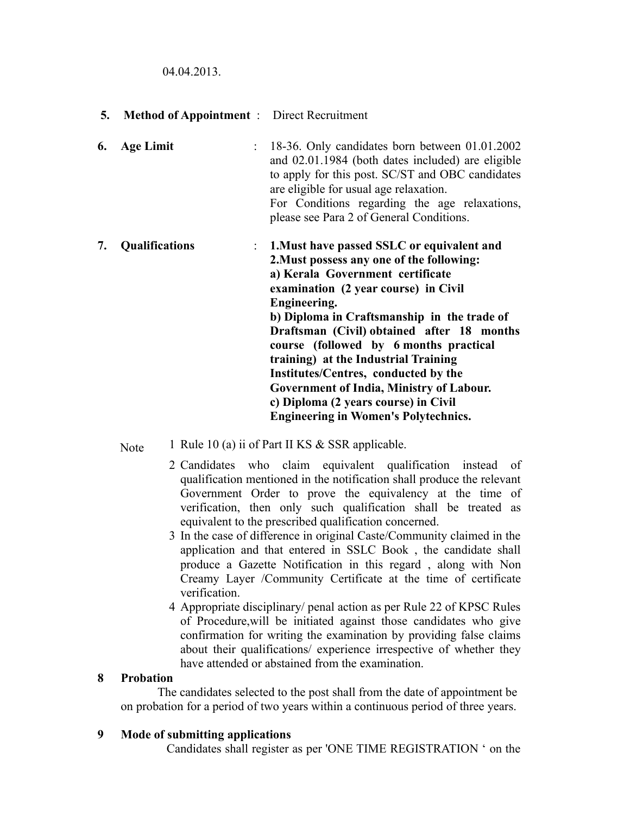04.04.2013.

- **5. Method of Appointment** : Direct Recruitment
- **6. Age Limit** : 18-36. Only candidates born between 01.01.2002 and 02.01.1984 (both dates included) are eligible to apply for this post. SC/ST and OBC candidates are eligible for usual age relaxation. For Conditions regarding the age relaxations, please see Para 2 of General Conditions.
- **7. Qualifications** : **1.Must have passed SSLC or equivalent and 2.Must possess any one of the following: a) Kerala Government certificate examination (2 year course) in Civil Engineering. b) Diploma in Craftsmanship in the trade of Draftsman (Civil) obtained after 18 months course (followed by 6 months practical training) at the Industrial Training Institutes/Centres, conducted by the Government of India, Ministry of Labour. c) Diploma (2 years course) in Civil Engineering in Women's Polytechnics.**

Note 1 Rule 10 (a) ii of Part II KS & SSR applicable.

- 2 Candidates who claim equivalent qualification instead of qualification mentioned in the notification shall produce the relevant Government Order to prove the equivalency at the time of verification, then only such qualification shall be treated as equivalent to the prescribed qualification concerned.
- 3 In the case of difference in original Caste/Community claimed in the application and that entered in SSLC Book , the candidate shall produce a Gazette Notification in this regard , along with Non Creamy Layer /Community Certificate at the time of certificate verification.
- 4 Appropriate disciplinary/ penal action as per Rule 22 of KPSC Rules of Procedure,will be initiated against those candidates who give confirmation for writing the examination by providing false claims about their qualifications/ experience irrespective of whether they have attended or abstained from the examination.

## **8 Probation**

 The candidates selected to the post shall from the date of appointment be on probation for a period of two years within a continuous period of three years.

## **9 Mode of submitting applications**

Candidates shall register as per 'ONE TIME REGISTRATION ' on the